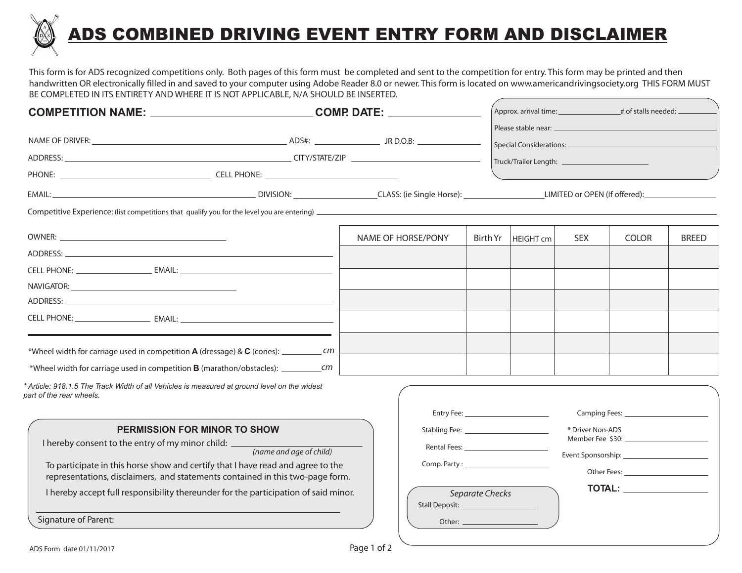

## ADS COMBINED DRIVING EVENT ENTRY FORM AND DISCLAIMER

This form is for ADS recognized competitions only. Both pages of this form must be completed and sent to the competition for entry. This form may be printed and then handwritten OR electronically filled in and saved to your computer using Adobe Reader 8.0 or newer. This form is located on www.americandrivingsociety.org THIS FORM MUST BE COMPLETED IN ITS ENTIRETY AND WHERE IT IS NOT APPLICABLE, N/A SHOULD BE INSERTED.

|                                                                                                                                                                                                                                                                                                                                                                                                                                                                                                                     | COMPETITION NAME: __________________________________COMP. DATE: ________________ |  |                                                                                                                |                 |                                                                                                                                                                                                                               | $\overline{a}$ Approx. arrival time: $\overline{a}$ # of stalls needed: $\overline{a}$ |              |              |
|---------------------------------------------------------------------------------------------------------------------------------------------------------------------------------------------------------------------------------------------------------------------------------------------------------------------------------------------------------------------------------------------------------------------------------------------------------------------------------------------------------------------|----------------------------------------------------------------------------------|--|----------------------------------------------------------------------------------------------------------------|-----------------|-------------------------------------------------------------------------------------------------------------------------------------------------------------------------------------------------------------------------------|----------------------------------------------------------------------------------------|--------------|--------------|
|                                                                                                                                                                                                                                                                                                                                                                                                                                                                                                                     |                                                                                  |  |                                                                                                                |                 |                                                                                                                                                                                                                               |                                                                                        |              |              |
| Competitive Experience: (list competitions that qualify you for the level you are entering)<br>experience of the local control of the level you are entering)<br>and the local control of the local control of the level you are e                                                                                                                                                                                                                                                                                  |                                                                                  |  |                                                                                                                |                 |                                                                                                                                                                                                                               |                                                                                        |              |              |
| ADDRESS:<br>*Wheel width for carriage used in competition A (dressage) & C (cones): _____________ cm                                                                                                                                                                                                                                                                                                                                                                                                                |                                                                                  |  | NAME OF HORSE/PONY                                                                                             | Birth Yr        | HEIGHT cm                                                                                                                                                                                                                     | <b>SEX</b>                                                                             | <b>COLOR</b> | <b>BREED</b> |
| * Article: 918.1.5 The Track Width of all Vehicles is measured at ground level on the widest<br>part of the rear wheels.<br><b>PERMISSION FOR MINOR TO SHOW</b><br>I hereby consent to the entry of my minor child: ____________<br>To participate in this horse show and certify that I have read and agree to the<br>representations, disclaimers, and statements contained in this two-page form.<br>I hereby accept full responsibility thereunder for the participation of said minor.<br>Signature of Parent: | (name and age of child)                                                          |  | Stabling Fee: 1999 and 1999 and 1999 and 1999 and 1999 and 1999 and 1999 and 1999 and 1999 and 1999 and 1999 a | Separate Checks | Entry Fee: Network and the state of the state of the state of the state of the state of the state of the state of the state of the state of the state of the state of the state of the state of the state of the state of the | * Driver Non-ADS                                                                       |              |              |